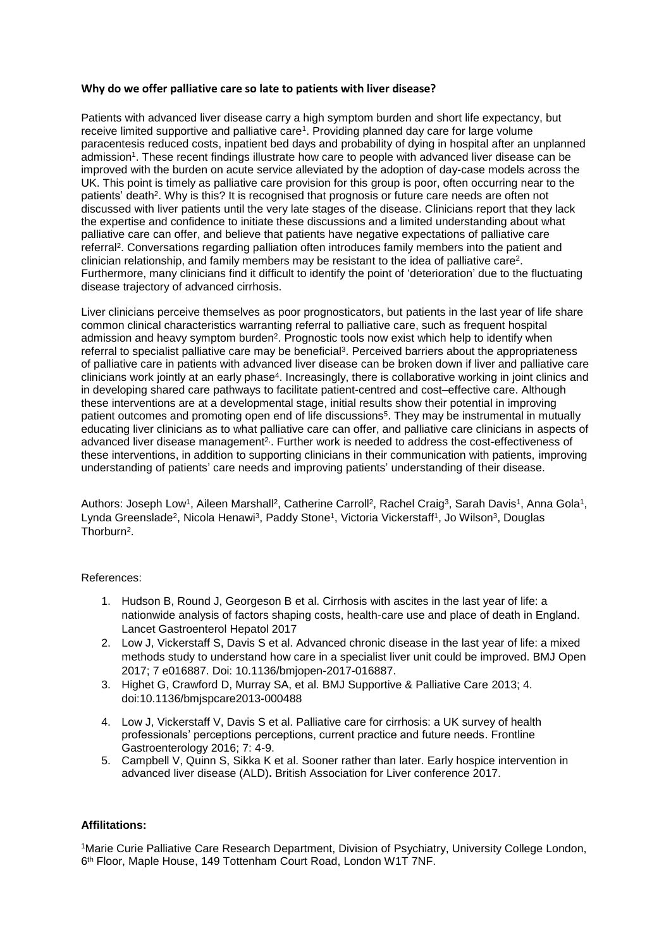## **Why do we offer palliative care so late to patients with liver disease?**

Patients with advanced liver disease carry a high symptom burden and short life expectancy, but receive limited supportive and palliative care<sup>1</sup>. Providing planned day care for large volume paracentesis reduced costs, inpatient bed days and probability of dying in hospital after an unplanned admission<sup>1</sup>. These recent findings illustrate how care to people with advanced liver disease can be improved with the burden on acute service alleviated by the adoption of day-case models across the UK. This point is timely as palliative care provision for this group is poor, often occurring near to the patients' death<sup>2</sup>. Why is this? It is recognised that prognosis or future care needs are often not discussed with liver patients until the very late stages of the disease. Clinicians report that they lack the expertise and confidence to initiate these discussions and a limited understanding about what palliative care can offer, and believe that patients have negative expectations of palliative care referral<sup>2</sup>. Conversations regarding palliation often introduces family members into the patient and clinician relationship, and family members may be resistant to the idea of palliative care<sup>2</sup>. Furthermore, many clinicians find it difficult to identify the point of 'deterioration' due to the fluctuating disease trajectory of advanced cirrhosis.

Liver clinicians perceive themselves as poor prognosticators, but patients in the last year of life share common clinical characteristics warranting referral to palliative care, such as frequent hospital admission and heavy symptom burden<sup>2</sup>. Prognostic tools now exist which help to identify when referral to specialist palliative care may be beneficial<sup>3</sup>. Perceived barriers about the appropriateness of palliative care in patients with advanced liver disease can be broken down if liver and palliative care clinicians work jointly at an early phase<sup>4</sup> . Increasingly, there is collaborative working in joint clinics and in developing shared care pathways to facilitate patient-centred and cost–effective care. Although these interventions are at a developmental stage, initial results show their potential in improving patient outcomes and promoting open end of life discussions<sup>5</sup>. They may be instrumental in mutually educating liver clinicians as to what palliative care can offer, and palliative care clinicians in aspects of advanced liver disease management<sup>2</sup>. Further work is needed to address the cost-effectiveness of these interventions, in addition to supporting clinicians in their communication with patients, improving understanding of patients' care needs and improving patients' understanding of their disease.

Authors: Joseph Low<sup>1</sup>, Aileen Marshall<sup>2</sup>, Catherine Carroll<sup>2</sup>, Rachel Craig<sup>3</sup>, Sarah Davis<sup>1</sup>, Anna Gola<sup>1</sup>, Lynda Greenslade<sup>2</sup>, Nicola Henawi<sup>3</sup>, Paddy Stone<sup>1</sup>, Victoria Vickerstaff<sup>1</sup>, Jo Wilson<sup>3</sup>, Douglas Thorburn<sup>2</sup>.

## References:

- 1. Hudson B, Round J, Georgeson B et al. Cirrhosis with ascites in the last year of life: a nationwide analysis of factors shaping costs, health-care use and place of death in England. Lancet Gastroenterol Hepatol 2017
- 2. Low J, Vickerstaff S, Davis S et al. Advanced chronic disease in the last year of life: a mixed methods study to understand how care in a specialist liver unit could be improved. BMJ Open 2017; 7 e016887. Doi: 10.1136/bmjopen-2017-016887.
- 3. Highet G, Crawford D, Murray SA, et al. BMJ Supportive & Palliative Care 2013; 4. doi:10.1136/bmjspcare2013-000488
- 4. Low J, Vickerstaff V, Davis S et al. Palliative care for cirrhosis: a UK survey of health professionals' perceptions perceptions, current practice and future needs. Frontline Gastroenterology 2016; 7: 4-9.
- 5. Campbell V, Quinn S, Sikka K et al. Sooner rather than later. Early hospice intervention in advanced liver disease (ALD)**.** British Association for Liver conference 2017.

## **Affilitations:**

<sup>1</sup>Marie Curie Palliative Care Research Department, Division of Psychiatry, University College London, 6 th Floor, Maple House, 149 Tottenham Court Road, London W1T 7NF.